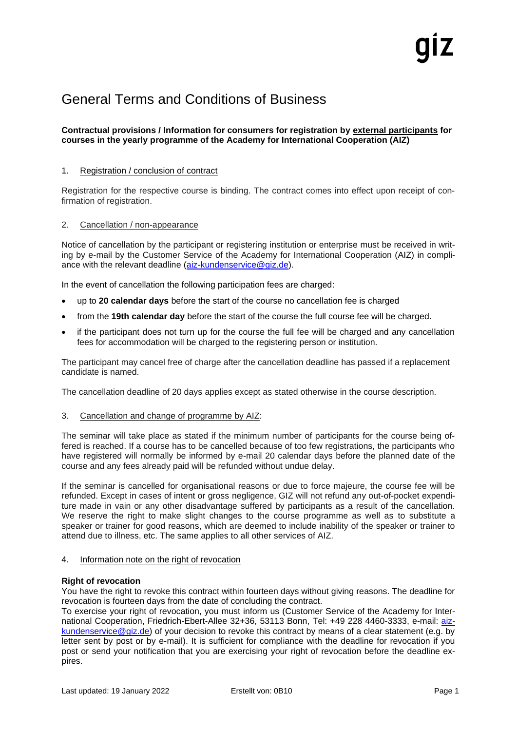# General Terms and Conditions of Business

## **Contractual provisions / Information for consumers for registration by external participants for courses in the yearly programme of the Academy for International Cooperation (AIZ)**

### 1. Registration / conclusion of contract

Registration for the respective course is binding. The contract comes into effect upon receipt of confirmation of registration.

#### 2. Cancellation / non-appearance

Notice of cancellation by the participant or registering institution or enterprise must be received in writing by e-mail by the Customer Service of the Academy for International Cooperation (AIZ) in compliance with the relevant deadline [\(aiz-kundenservice@giz.de\)](mailto:aiz-kundenservice@giz.de).

In the event of cancellation the following participation fees are charged:

- up to **20 calendar days** before the start of the course no cancellation fee is charged
- from the **19th calendar day** before the start of the course the full course fee will be charged.
- if the participant does not turn up for the course the full fee will be charged and any cancellation fees for accommodation will be charged to the registering person or institution.

The participant may cancel free of charge after the cancellation deadline has passed if a replacement candidate is named.

The cancellation deadline of 20 days applies except as stated otherwise in the course description.

3. Cancellation and change of programme by AIZ:

The seminar will take place as stated if the minimum number of participants for the course being offered is reached. If a course has to be cancelled because of too few registrations, the participants who have registered will normally be informed by e-mail 20 calendar days before the planned date of the course and any fees already paid will be refunded without undue delay.

If the seminar is cancelled for organisational reasons or due to force majeure, the course fee will be refunded. Except in cases of intent or gross negligence, GIZ will not refund any out-of-pocket expenditure made in vain or any other disadvantage suffered by participants as a result of the cancellation. We reserve the right to make slight changes to the course programme as well as to substitute a speaker or trainer for good reasons, which are deemed to include inability of the speaker or trainer to attend due to illness, etc. The same applies to all other services of AIZ.

4. Information note on the right of revocation

## **Right of revocation**

You have the right to revoke this contract within fourteen days without giving reasons. The deadline for revocation is fourteen days from the date of concluding the contract.

To exercise your right of revocation, you must inform us (Customer Service of the Academy for International Cooperation, Friedrich-Ebert-Allee 32+36, 53113 Bonn, Tel: +49 228 4460-3333, e-mail: [aiz](mailto:aiz-kundenservice@giz.de)[kundenservice@giz.de\)](mailto:aiz-kundenservice@giz.de) of your decision to revoke this contract by means of a clear statement (e.g. by letter sent by post or by e-mail). It is sufficient for compliance with the deadline for revocation if you post or send your notification that you are exercising your right of revocation before the deadline expires.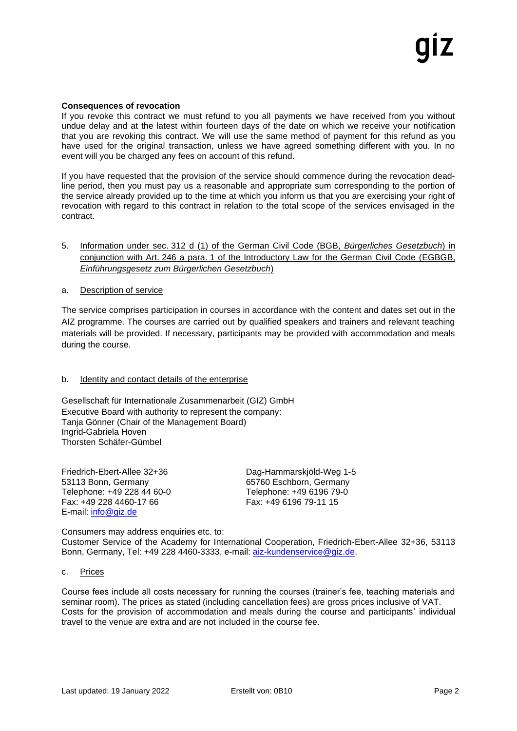#### **Consequences of revocation**

If you revoke this contract we must refund to you all payments we have received from you without undue delay and at the latest within fourteen days of the date on which we receive your notification that you are revoking this contract. We will use the same method of payment for this refund as you have used for the original transaction, unless we have agreed something different with you. In no event will you be charged any fees on account of this refund.

If you have requested that the provision of the service should commence during the revocation deadline period, then you must pay us a reasonable and appropriate sum corresponding to the portion of the service already provided up to the time at which you inform us that you are exercising your right of revocation with regard to this contract in relation to the total scope of the services envisaged in the contract.

## 5. Information under sec. 312 d (1) of the German Civil Code (BGB, *Bürgerliches Gesetzbuch*) in conjunction with Art. 246 a para. 1 of the Introductory Law for the German Civil Code (EGBGB, *Einführungsgesetz zum Bürgerlichen Gesetzbuch*)

#### a. Description of service

The service comprises participation in courses in accordance with the content and dates set out in the AIZ programme. The courses are carried out by qualified speakers and trainers and relevant teaching materials will be provided. If necessary, participants may be provided with accommodation and meals during the course.

## b. Identity and contact details of the enterprise

Gesellschaft für Internationale Zusammenarbeit (GIZ) GmbH Executive Board with authority to represent the company: Tanja Gönner (Chair of the Management Board) Ingrid-Gabriela Hoven Thorsten Schäfer-Gümbel

Friedrich-Ebert-Allee 32+36 Dag-Hammarskjöld-Weg 1-5 53113 Bonn, Germany 65760 Eschborn, Germany Telephone: +49 228 44 60-0 Telephone: +49 6196 79-0 Fax: +49 228 4460-17 66 Fax: +49 6196 79-11 15 E-mail: [info@giz.de](mailto:info@giz.de)

Consumers may address enquiries etc. to:

Customer Service of the Academy for International Cooperation, Friedrich-Ebert-Allee 32+36, 53113 Bonn, Germany, Tel: +49 228 4460-3333, e-mail: [aiz-kundenservice@giz.de.](mailto:aiz-kundenservice@giz.de)

#### c. Prices

Course fees include all costs necessary for running the courses (trainer's fee, teaching materials and seminar room). The prices as stated (including cancellation fees) are gross prices inclusive of VAT. Costs for the provision of accommodation and meals during the course and participants' individual travel to the venue are extra and are not included in the course fee.